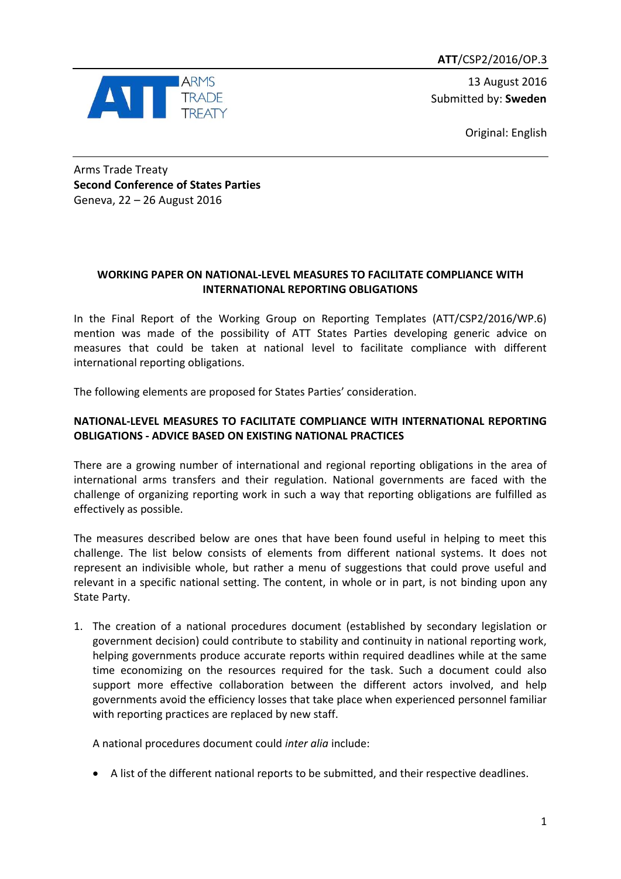**ATT**/CSP2/2016/OP.3



13 August 2016 Submitted by: **Sweden**

Original: English

Arms Trade Treaty **Second Conference of States Parties** Geneva, 22 – 26 August 2016

## **WORKING PAPER ON NATIONAL-LEVEL MEASURES TO FACILITATE COMPLIANCE WITH INTERNATIONAL REPORTING OBLIGATIONS**

In the Final Report of the Working Group on Reporting Templates (ATT/CSP2/2016/WP.6) mention was made of the possibility of ATT States Parties developing generic advice on measures that could be taken at national level to facilitate compliance with different international reporting obligations.

The following elements are proposed for States Parties' consideration.

## **NATIONAL-LEVEL MEASURES TO FACILITATE COMPLIANCE WITH INTERNATIONAL REPORTING OBLIGATIONS - ADVICE BASED ON EXISTING NATIONAL PRACTICES**

There are a growing number of international and regional reporting obligations in the area of international arms transfers and their regulation. National governments are faced with the challenge of organizing reporting work in such a way that reporting obligations are fulfilled as effectively as possible.

The measures described below are ones that have been found useful in helping to meet this challenge. The list below consists of elements from different national systems. It does not represent an indivisible whole, but rather a menu of suggestions that could prove useful and relevant in a specific national setting. The content, in whole or in part, is not binding upon any State Party.

1. The creation of a national procedures document (established by secondary legislation or government decision) could contribute to stability and continuity in national reporting work, helping governments produce accurate reports within required deadlines while at the same time economizing on the resources required for the task. Such a document could also support more effective collaboration between the different actors involved, and help governments avoid the efficiency losses that take place when experienced personnel familiar with reporting practices are replaced by new staff.

A national procedures document could *inter alia* include:

A list of the different national reports to be submitted, and their respective deadlines.